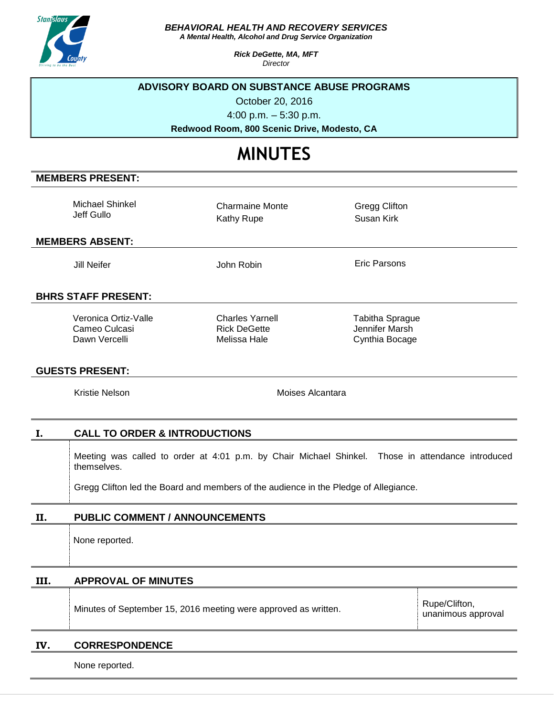

*BEHAVIORAL HEALTH AND RECOVERY SERVICES*

*A Mental Health, Alcohol and Drug Service Organization*

*Rick DeGette, MA, MFT Director*

#### **ADVISORY BOARD ON SUBSTANCE ABUSE PROGRAMS**

October 20, 2016

4:00 p.m. – 5:30 p.m.

**Redwood Room, 800 Scenic Drive, Modesto, CA**

# **MINUTES**

# **MEMBERS PRESENT:**

Michael Shinkel Jeff Gullo

Charmaine Monte Kathy Rupe

Gregg Clifton Susan Kirk

#### **MEMBERS ABSENT:**

Jill Neifer **Gott Communist Communist Communist Communist Communist Communist Communist Communist Communist Communist Communist Communist Communist Communist Communist Communist Communist Communist Communist Communist Comm** 

# **BHRS STAFF PRESENT:**

Veronica Ortiz-Valle Cameo Culcasi Dawn Vercelli

Charles Yarnell Rick DeGette Melissa Hale

Tabitha Sprague Jennifer Marsh Cynthia Bocage

#### **GUESTS PRESENT:**

# **I. CALL TO ORDER & INTRODUCTIONS**

Meeting was called to order at 4:01 p.m. by Chair Michael Shinkel. Those in attendance introduced

Gregg Clifton led the Board and members of the audience in the Pledge of Allegiance.

# **II. PUBLIC COMMENT / ANNOUNCEMENTS**

# **III. APPROVAL OF MINUTES**

Minutes of September 15, 2016 meeting were approved as written.

Rupe/Clifton, unanimous approval

#### **IV. CORRESPONDENCE**

None reported.

# Kristie Nelson **Moises** Alcantara themselves. None reported.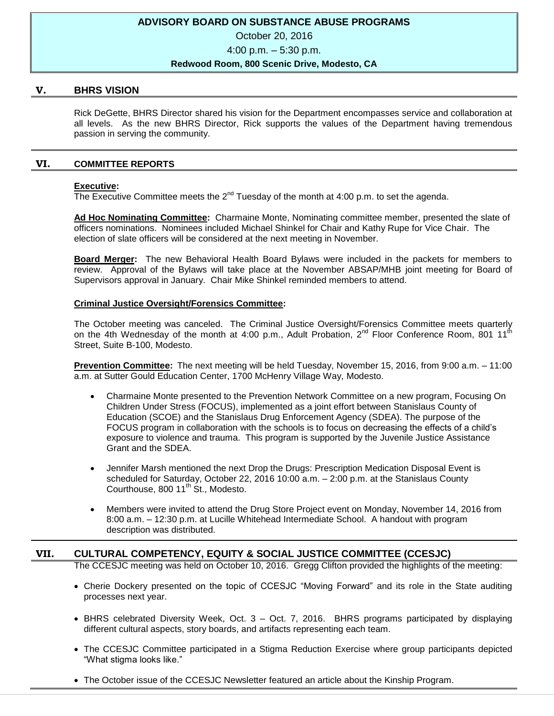# **ADVISORY BOARD ON SUBSTANCE ABUSE PROGRAMS**

October 20, 2016

4:00 p.m. – 5:30 p.m.

#### **Redwood Room, 800 Scenic Drive, Modesto, CA**

#### **V. BHRS VISION**

Rick DeGette, BHRS Director shared his vision for the Department encompasses service and collaboration at all levels. As the new BHRS Director, Rick supports the values of the Department having tremendous passion in serving the community.

# **VI. COMMITTEE REPORTS**

#### **Executive:**

The Executive Committee meets the  $2^{nd}$  Tuesday of the month at 4:00 p.m. to set the agenda.

**Ad Hoc Nominating Committee:** Charmaine Monte, Nominating committee member, presented the slate of officers nominations. Nominees included Michael Shinkel for Chair and Kathy Rupe for Vice Chair. The election of slate officers will be considered at the next meeting in November.

**Board Merger:** The new Behavioral Health Board Bylaws were included in the packets for members to review. Approval of the Bylaws will take place at the November ABSAP/MHB joint meeting for Board of Supervisors approval in January. Chair Mike Shinkel reminded members to attend.

#### **Criminal Justice Oversight/Forensics Committee:**

The October meeting was canceled. The Criminal Justice Oversight/Forensics Committee meets quarterly on the 4th Wednesday of the month at 4:00 p.m., Adult Probation, 2<sup>nd</sup> Floor Conference Room, 801 11 Street, Suite B-100, Modesto.

**Prevention Committee:** The next meeting will be held Tuesday, November 15, 2016, from 9:00 a.m. – 11:00 a.m. at Sutter Gould Education Center, 1700 McHenry Village Way, Modesto.

- Charmaine Monte presented to the Prevention Network Committee on a new program, Focusing On Children Under Stress (FOCUS), implemented as a joint effort between Stanislaus County of Education (SCOE) and the Stanislaus Drug Enforcement Agency (SDEA). The purpose of the FOCUS program in collaboration with the schools is to focus on decreasing the effects of a child's exposure to violence and trauma. This program is supported by the Juvenile Justice Assistance Grant and the SDEA.
- Jennifer Marsh mentioned the next Drop the Drugs: Prescription Medication Disposal Event is scheduled for Saturday, October 22, 2016 10:00 a.m. – 2:00 p.m. at the Stanislaus County Courthouse,  $800 11<sup>th</sup>$  St., Modesto.
- Members were invited to attend the Drug Store Project event on Monday, November 14, 2016 from 8:00 a.m. – 12:30 p.m. at Lucille Whitehead Intermediate School. A handout with program description was distributed.

# **VII. CULTURAL COMPETENCY, EQUITY & SOCIAL JUSTICE COMMITTEE (CCESJC)**

The CCESJC meeting was held on October 10, 2016. Gregg Clifton provided the highlights of the meeting:

- Cherie Dockery presented on the topic of CCESJC "Moving Forward" and its role in the State auditing processes next year.
- $\bullet$  BHRS celebrated Diversity Week, Oct. 3 Oct. 7, 2016. BHRS programs participated by displaying different cultural aspects, story boards, and artifacts representing each team.
- The CCESJC Committee participated in a Stigma Reduction Exercise where group participants depicted "What stigma looks like."
- The October issue of the CCESJC Newsletter featured an article about the Kinship Program.